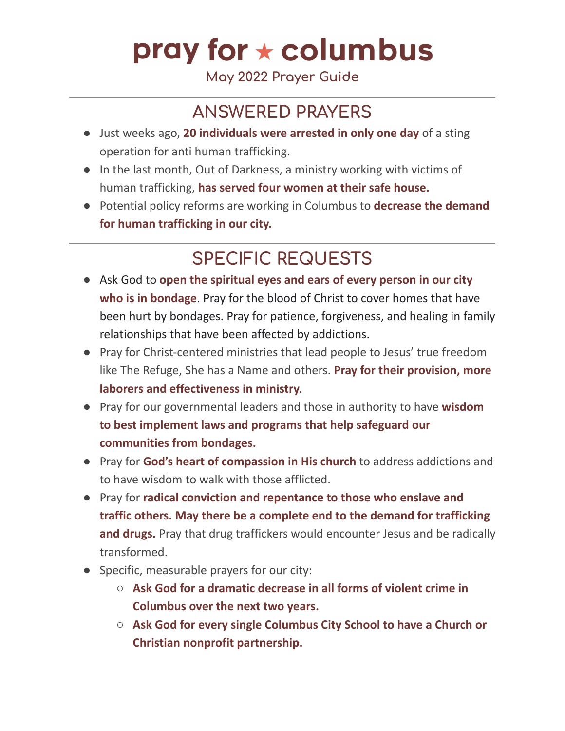# pray for  $\star$  columbus

**May 2022 Prayer Guide**

## **ANSWERED PRAYERS**

- Just weeks ago, **20 individuals were arrested in only one day** of a sting operation for anti human trafficking.
- In the last month, Out of Darkness, a ministry working with victims of human trafficking, **has served four women at their safe house.**
- Potential policy reforms are working in Columbus to **decrease the demand for human trafficking in our city.**

## **SPECIFIC REQUESTS**

- Ask God to **open the spiritual eyes and ears of every person in our city who is in bondage**. Pray for the blood of Christ to cover homes that have been hurt by bondages. Pray for patience, forgiveness, and healing in family relationships that have been affected by addictions.
- Pray for Christ-centered ministries that lead people to Jesus' true freedom like The Refuge, She has a Name and others. **Pray for their provision, more laborers and effectiveness in ministry.**
- Pray for our governmental leaders and those in authority to have **wisdom to best implement laws and programs that help safeguard our communities from bondages.**
- Pray for **God's heart of compassion in His church** to address addictions and to have wisdom to walk with those afflicted.
- Pray for **radical conviction and repentance to those who enslave and traffic others. May there be a complete end to the demand for trafficking and drugs.** Pray that drug traffickers would encounter Jesus and be radically transformed.
- Specific, measurable prayers for our city:
	- **Ask God for a dramatic decrease in all forms of violent crime in Columbus over the next two years.**
	- **Ask God for every single Columbus City School to have a Church or Christian nonprofit partnership.**